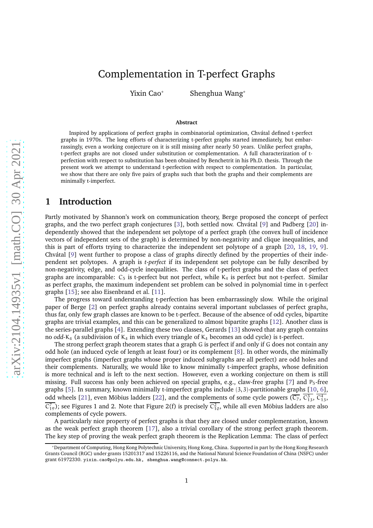# Complementation in T-perfect Graphs

Yixin Cao\* Shenghua Wang\*

#### **Abstract**

Inspired by applications of perfect graphs in combinatorial optimization, Chvátal defined t-perfect graphs in 1970s. The long efforts of characterizing t-perfect graphs started immediately, but embarrassingly, even a working conjecture on it is still missing after nearly 50 years. Unlike perfect graphs, t-perfect graphs are not closed under substitution or complementation. A full characterization of tperfection with respect to substitution has been obtained by Benchetrit in his Ph.D. thesis. Through the present work we attempt to understand t-perfection with respect to complementation. In particular, we show that there are only five pairs of graphs such that both the graphs and their complements are minimally t-imperfect.

#### **1 Introduction**

Partly motivated by Shannon's work on communication theory, Berge proposed the concept of perfect graphs, and the two perfect graph conjectures [\[3\]](#page-11-0), both settled now. Chvátal [\[9\]](#page-11-1) and Padberg [\[20\]](#page-12-0) independently showed that the independent set polytope of a perfect graph (the convex hull of incidence vectors of independent sets of the graph) is determined by non-negativity and clique inequalities, and this is part of efforts trying to characterize the independent set polytope of a graph [\[20,](#page-12-0) [18,](#page-12-1) [19,](#page-12-2) [9\]](#page-11-1). Chvátal [\[9\]](#page-11-1) went further to propose a class of graphs directly defined by the properties of their independent set polytopes. A graph is *t-perfect* if its independent set polytope can be fully described by non-negativity, edge, and odd-cycle inequalities. The class of t-perfect graphs and the class of perfect graphs are incomparable:  $C_5$  is t-perfect but not perfect, while  $K_4$  is perfect but not t-perfect. Similar as perfect graphs, the maximum independent set problem can be solved in polynomial time in t-perfect graphs [\[15\]](#page-12-3); see also Eisenbrand et al. [\[11\]](#page-11-2).

The progress toward understanding t-perfection has been embarrassingly slow. While the original paper of Berge [\[2\]](#page-11-3) on perfect graphs already contains several important subclasses of perfect graphs, thus far, only few graph classes are known to be t-perfect. Because of the absence of odd cycles, bipartite graphs are trivial examples, and this can be generalized to almost bipartite graphs [\[12\]](#page-12-4). Another class is the series-parallel graphs [\[4\]](#page-11-4). Extending these two classes, Gerards [\[13\]](#page-12-5) showed that any graph contains no *odd-*K<sup>4</sup> (a subdivision of K<sup>4</sup> in which every triangle of K<sup>4</sup> becomes an odd cycle) is t-perfect.

The strong perfect graph theorem states that a graph G is perfect if and only if G does not contain any odd hole (an induced cycle of length at least four) or its complement [\[8\]](#page-11-5). In other words, the minimally imperfect graphs (imperfect graphs whose proper induced subgraphs are all perfect) are odd holes and their complements. Naturally, we would like to know minimally t-imperfect graphs, whose definition is more technical and is left to the next section. However, even a working conjecture on them is still missing. Full success has only been achieved on special graphs, e.g., claw-free graphs [\[7\]](#page-11-6) and  $P_5$ -free graphs [\[5\]](#page-11-7). In summary, known minimally t-imperfect graphs include (3, 3)-partitionable graphs [\[10,](#page-11-8) [6\]](#page-11-9), odd wheels [\[21\]](#page-12-6), even Möbius ladders [\[22\]](#page-12-7), and the complements of some cycle powers ( $\overline{C_7}$ ,  $\overline{C_{13}^3}$ ,  $\overline{C_{13}^4}$ ,  $\overline{C_{19}^7}$ ); see Figures [1](#page-1-0) and [2.](#page-1-1) Note that Figure [2\(](#page-1-1)f) is precisely  $\overline{C_{10}^2}$ , while all even Möbius ladders are also complements of cycle powers.

A particularly nice property of perfect graphs is that they are closed under complementation, known as the weak perfect graph theorem [\[17\]](#page-12-8), also a trivial corollary of the strong perfect graph theorem. The key step of proving the weak perfect graph theorem is the Replication Lemma: The class of perfect

<sup>\*</sup>Department of Computing, Hong Kong Polytechnic University, Hong Kong, China. Supported in part by the Hong Kong Research Grants Council (RGC) under grants 15201317 and 15226116, and the National Natural Science Foundation of China (NSFC) under grant 61972330. yixin.cao@polyu.edu.hk, shenghua.wang@connect.polyu.hk.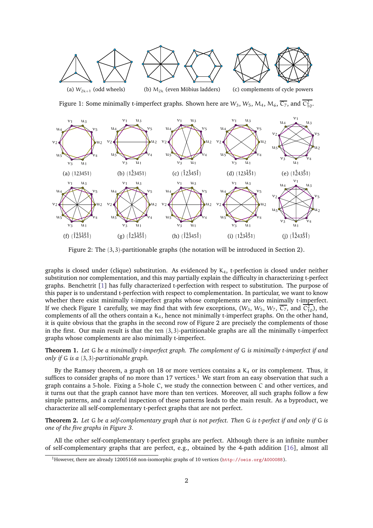<span id="page-1-0"></span>

Figure 1: Some minimally t-imperfect graphs. Shown here are  $W_3$ ,  $W_5$ ,  $M_4$ ,  $M_6$ ,  $\overline{C_7}$ , and  $\overline{C_{10}^2}$ .

<span id="page-1-1"></span>

Figure 2: The (3, 3)-partitionable graphs (the notation will be introduced in Section [2\)](#page-2-0).

graphs is closed under (clique) substitution. As evidenced by  $K_4$ , t-perfection is closed under neither substitution nor complementation, and this may partially explain the difficulty in characterizing t-perfect graphs. Benchetrit [\[1\]](#page-11-10) has fully characterized t-perfection with respect to substitution. The purpose of this paper is to understand t-perfection with respect to complementation. In particular, we want to know whether there exist minimally t-imperfect graphs whose complements are also minimally t-imperfect. If we check Figure [1](#page-1-0) carefully, we may find that with few exceptions,  $(W_3, W_5, W_7, \overline{C_7},$  and  $\overline{C_{10}^2}$ ), the complements of all the others contain a  $K_4$ , hence not minimally t-imperfect graphs. On the other hand, it is quite obvious that the graphs in the second row of Figure [2](#page-1-1) are precisely the complements of those in the first. Our main result is that the ten  $(3,3)$ -partitionable graphs are all the minimally t-imperfect graphs whose complements are also minimally t-imperfect.

<span id="page-1-4"></span>**Theorem 1.** *Let* G *be a minimally t-imperfect graph. The complement of* G *is minimally t-imperfect if and only if* G *is a* (3, 3)*-partitionable graph.*

By the Ramsey theorem, a graph on 18 or more vertices contains a  $K_4$  or its complement. Thus, it suffices to consider graphs of no more than [1](#page-1-2)7 vertices.<sup>1</sup> We start from an easy observation that such a graph contains a 5-hole. Fixing a 5-hole C, we study the connection between C and other vertices, and it turns out that the graph cannot have more than ten vertices. Moreover, all such graphs follow a few simple patterns, and a careful inspection of these patterns leads to the main result. As a byproduct, we characterize all self-complementary t-perfect graphs that are not perfect.

<span id="page-1-3"></span>**Theorem 2.** *Let* G *be a self-complementary graph that is not perfect. Then* G *is t-perfect if and only if* G *is one of the five graphs in Figure [3.](#page-2-1)*

All the other self-complementary t-perfect graphs are perfect. Although there is an infinite number of self-complementary graphs that are perfect, e.g., obtained by the 4-path addition [\[16\]](#page-12-9), almost all

<span id="page-1-2"></span><sup>&</sup>lt;sup>1</sup>However, there are already 12005168 non-isomorphic graphs of 10 vertices (<http://oeis.org/A000088>).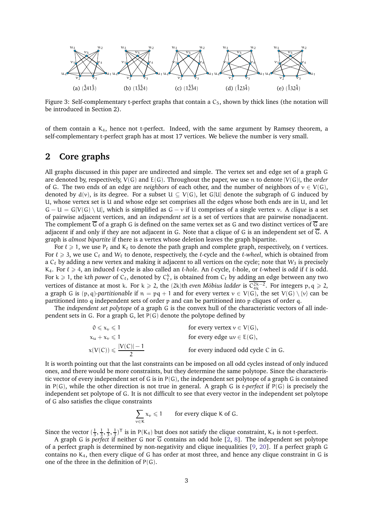<span id="page-2-1"></span>

Figure 3: Self-complementary t-perfect graphs that contain a  $C_5$ , shown by thick lines (the notation will be introduced in Section [2\)](#page-2-0).

of them contain a K4, hence not t-perfect. Indeed, with the same argument by Ramsey theorem, a self-complementary t-perfect graph has at most 17 vertices. We believe the number is very small.

### <span id="page-2-0"></span>**2 Core graphs**

All graphs discussed in this paper are undirected and simple. The vertex set and edge set of a graph G are denoted by, respectively, V(G) and E(G). Throughout the paper, we use n to denote |V(G)|, the *order* of G. The two ends of an edge are *neighbors* of each other, and the number of neighbors of  $v \in V(G)$ , denoted by  $d(v)$ , is its degree. For a subset  $U \subseteq V(G)$ , let G[U] denote the subgraph of G induced by U, whose vertex set is U and whose edge set comprises all the edges whose both ends are in U, and let  $G - U = G[V(G) \setminus U]$ , which is simplified as  $G - v$  if U comprises of a single vertex v. A *clique* is a set of pairwise adjacent vertices, and an *independent set* is a set of vertices that are pairwise nonadjacent. The complement  $\overline{G}$  of a graph G is defined on the same vertex set as G and two distinct vertices of  $\overline{G}$  are adjacent if and only if they are not adjacent in G. Note that a clique of G is an independent set of  $\overline{G}$ . A graph is *almost bipartite* if there is a vertex whose deletion leaves the graph bipartite.

For  $\ell \geq 1$ , we use P<sub> $\ell$ </sub> and K<sub> $\ell$ </sub> to denote the path graph and complete graph, respectively, on  $\ell$  vertices. For ℓ > 3, we use C<sup>ℓ</sup> and W<sup>ℓ</sup> to denote, respectively, the ℓ-cycle and the ℓ*-wheel*, which is obtained from a  $C_{\ell}$  by adding a new vertex and making it adjacent to all vertices on the cycle; note that  $W_3$  is precisely K4. For ℓ > 4, an induced ℓ-cycle is also called an ℓ*-hole*. An ℓ-cycle, ℓ-hole, or ℓ-wheel is *odd* if ℓ is odd. For  $k \geq 1$ , the kth power of  $C_{\ell}$ , denoted by  $C_{\ell}^{k}$ , is obtained from  $C_{\ell}$  by adding an edge between any two vertices of distance at most k. For k  $\geq 2$ , the (2k)th *even Möbius ladder* is  $\overline{C_{4k}^{2k-2}}$ . For integers p, q  $\geq 2$ , a graph G is  $(p, q)$ *-partitionable* if  $n = pq + 1$  and for every vertex  $v \in V(G)$ , the set  $V(G) \setminus \{v\}$  can be partitioned into q independent sets of order p and can be partitioned into p cliques of order q.

The *independent set polytope* of a graph G is the convex hull of the characteristic vectors of all independent sets in G. For a graph G, let P(G) denote the polytope defined by

> $0 \leq x_v \leq 1$  for every vertex  $v \in V(G)$ ,  $x_u + x_v \le 1$  for every edge  $uv \in E(G)$ ,  $x(V(C)) \leqslant \frac{|V(C)|-1}{2}$ 2 for every induced odd cycle C in G.

It is worth pointing out that the last constraints can be imposed on all odd cycles instead of only induced ones, and there would be more constraints, but they determine the same polytope. Since the characteristic vector of every independent set of G is in  $P(G)$ , the independent set polytope of a graph G is contained in P(G), while the other direction is not true in general. A graph G is *t-perfect* if P(G) is precisely the independent set polytope of G. It is not difficult to see that every vector in the independent set polytope of G also satisfies the clique constraints

$$
\sum_{v \in K} x_v \leq 1 \qquad \text{for every clique K of G.}
$$

Since the vector  $(\frac{1}{3}, \frac{1}{3}, \frac{1}{3})^T$  is in P(K<sub>4</sub>) but does not satisfy the clique constraint, K<sub>4</sub> is not t-perfect.

A graph G is *perfect* if neither G nor G contains an odd hole [\[2,](#page-11-3) [8\]](#page-11-5). The independent set polytope of a perfect graph is determined by non-negativity and clique inequalities [\[9,](#page-11-1) [20\]](#page-12-0). If a perfect graph G contains no  $K<sub>4</sub>$ , then every clique of G has order at most three, and hence any clique constraint in G is one of the three in the definition of  $P(G)$ .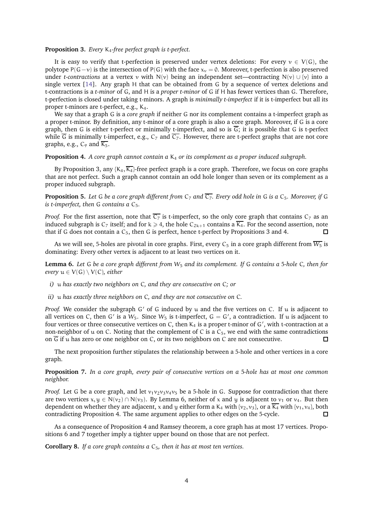#### <span id="page-3-0"></span>**Proposition 3.** *Every* K4*-free perfect graph is t-perfect.*

It is easy to verify that t-perfection is preserved under vertex deletions: For every  $v \in V(G)$ , the polytope P(G−v) is the intersection of P(G) with the face  $x_v = 0$ . Moreover, t-perfection is also preserved under *t-contractions* at a vertex v with N(v) being an independent set—contracting N(v)  $\cup$  {v} into a single vertex [\[14\]](#page-12-10). Any graph H that can be obtained from G by a sequence of vertex deletions and t-contractions is a *t-minor* of G, and H is a *proper t-minor* of G if H has fewer vertices than G. Therefore, t-perfection is closed under taking t-minors. A graph is *minimally t-imperfect* if it is t-imperfect but all its proper t-minors are t-perfect, e.g., K4.

We say that a graph G is a *core graph* if neither G nor its complement contains a t-imperfect graph as a proper t-minor. By definition, any t-minor of a core graph is also a core graph. Moreover, if G is a core graph, then G is either t-perfect or minimally t-imperfect, and so is  $\overline{G}$ ; it is possible that G is t-perfect while  $\overline{G}$  is minimally t-imperfect, e.g., C<sub>7</sub> and  $\overline{C_7}$ . However, there are t-perfect graphs that are not core graphs, e.g.,  $C_9$  and  $\overline{K_5}$ .

#### <span id="page-3-1"></span>**Proposition 4.** *A core graph cannot contain a*  $K_4$  *or its complement as a proper induced subgraph.*

By Proposition [3,](#page-3-0) any  $\{K_4, \overline{K_4}\}$ -free perfect graph is a core graph. Therefore, we focus on core graphs that are not perfect. Such a graph cannot contain an odd hole longer than seven or its complement as a proper induced subgraph.

<span id="page-3-4"></span>**Proposition 5.** Let G be a core graph different from  $C_7$  and  $\overline{C_7}$ . Every odd hole in G is a  $C_5$ . Moreover, if G *is t-imperfect, then* G *contains a* C5*.*

*Proof.* For the first assertion, note that  $\overline{C_7}$  is t-imperfect, so the only core graph that contains  $C_7$  as an induced subgraph is  $C_7$  itself; and for  $k \ge 4$ , the hole  $C_{2k+1}$  contains a  $\overline{K_4}$ . For the second assertion, note that if G does not contain a  $C_5$ , then G is perfect, hence t-perfect by Propositions [3](#page-3-0) and [4.](#page-3-1)

As we will see, 5-holes are pivotal in core graphs. First, every  $C_5$  in a core graph different from  $\overline{W_5}$  is dominating: Every other vertex is adjacent to at least two vertices on it.

<span id="page-3-2"></span>**Lemma 6.** *Let* G *be a core graph different from* W<sup>5</sup> *and its complement. If* G *contains a* 5*-hole* C*, then for every*  $u \in V(G) \setminus V(C)$ *, either* 

- *i)* u *has exactly two neighbors on* C*, and they are consecutive on* C*; or*
- *ii)* u *has exactly three neighbors on* C*, and they are not consecutive on* C*.*

*Proof.* We consider the subgraph G' of G induced by u and the five vertices on C. If u is adjacent to all vertices on C, then G' is a  $W_5$ . Since  $W_5$  is t-imperfect,  $G = G'$ , a contradiction. If u is adjacent to four vertices or three consecutive vertices on C, then K<sub>4</sub> is a proper t-minor of G', with t-contraction at a non-neighbor of u on C. Noting that the complement of C is a  $C_5$ , we end with the same contradictions on  $\overline{G}$  if u has zero or one neighbor on C, or its two neighbors on C are not consecutive.  $\Box$ 

The next proposition further stipulates the relationship between a 5-hole and other vertices in a core graph.

<span id="page-3-3"></span>**Proposition 7.** *In a core graph, every pair of consecutive vertices on a* 5*-hole has at most one common neighbor.*

*Proof.* Let G be a core graph, and let  $v_1v_2v_3v_4v_5$  be a 5-hole in G. Suppose for contradiction that there are two vertices  $x, y \in N(v_2) \cap N(v_3)$ . By Lemma [6,](#page-3-2) neither of x and y is adjacent to  $v_1$  or  $v_4$ . But then dependent on whether they are adjacent, x and y either form a K<sub>4</sub> with {v<sub>2</sub>, v<sub>3</sub>}, or a  $\overline{K_4}$  with {v<sub>1</sub>, v<sub>4</sub>}, both contradicting Proposition [4.](#page-3-1) The same argument applies to other edges on the 5-cycle.  $\Box$ 

As a consequence of Proposition [4](#page-3-1) and Ramsey theorem, a core graph has at most 17 vertices. Propositions [6](#page-3-2) and [7](#page-3-3) together imply a tighter upper bound on those that are not perfect.

<span id="page-3-5"></span>**Corollary 8.** *If a core graph contains a*  $C_5$ , *then it has at most ten vertices.*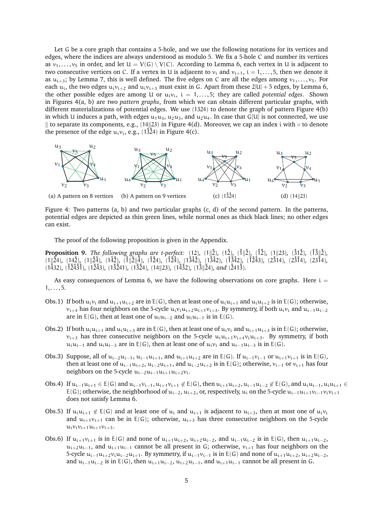Let G be a core graph that contains a 5-hole, and we use the following notations for its vertices and edges, where the indices are always understood as modulo 5. We fix a 5-hole C and number its vertices as  $v_1, \ldots, v_5$  in order, and let  $U = V(G) \setminus V(C)$ . According to Lemma [6,](#page-3-2) each vertex in U is adjacent to two consecutive vertices on C. If a vertex in U is adjacent to  $v_i$  and  $v_{i+1}$ ,  $i = 1, \ldots, 5$ , then we denote it as  $u_{i+3}$ ; by Lemma [7,](#page-3-3) this is well defined. The five edges on C are all the edges among  $v_1, \ldots, v_5$ . For each  $u_i$ , the two edges  $u_i v_{i+2}$  and  $u_i v_{i+3}$  must exist in G. Apart from these  $2|U| + 5$  edges, by Lemma [6,](#page-3-2) the other possible edges are among U or  $u_i v_i$ ,  $i = 1, \ldots, 5$ ; they are called *potential edges*. Shown in Figures [4\(](#page-4-0)a, b) are two *pattern graphs*, from which we can obtain different particular graphs, with different materializations of potential edges. We use (1324) to denote the graph of pattern Figure [4\(](#page-4-0)b) in which U induces a path, with edges  $u_1u_3$ ,  $u_2u_3$ , and  $u_2u_4$ . In case that G[U] is not connected, we use  $\parallel$  to separate its components, e.g., (14 $\parallel$ 23) in Figure [4\(](#page-4-0)d). Moreover, we cap an index i with ◦ to denote the presence of the edge  $u_i v_i$ , e.g., (1324) in Figure [4\(](#page-4-0)c).

<span id="page-4-0"></span>

Figure 4: Two patterns (a, b) and two particular graphs (c, d) of the second pattern. In the patterns, potential edges are depicted as thin green lines, while normal ones as thick black lines; no other edges can exist.

The proof of the following proposition is given in the Appendix.

<span id="page-4-3"></span>**Proposition 9.** *The following graphs are t-perfect:* (12), (1||2<sup>2</sup>), (1||2<sup>2</sup>), (1||23), (31<sup>2</sup>), (1<sup>3</sup>||2<sup>2</sup>),  $(1\|\hat{24})$ ,  $(14\hat{2})$ ,  $(1\|\hat{24})$ ,  $(14\hat{2})$ ,  $(1\|\hat{2}\|_4^4)$ ,  $(124)$ ,  $(124)$ ,  $(13\hat{42})$ ,  $(13\hat{42})$ ,  $(13\hat{42})$ ,  $(13\hat{42})$ ,  $(13\hat{43})$ ,  $(12\hat{314})$ ,  $(23\hat{14})$ ,  $(23\hat{14})$ ,  $(23\hat{14})$ ,  $(23\hat{14})$ ,  $(23$ (1˚432)*,* (˚1˚2˚4˚3˚1)*,* (1˚2˚43)*,* (1˚3˚241)*,* (1˚3˚24)*,* (14k23)*,* (1˚4˚32)*,* (1˚3k˚24)*, and* (˚241˚3)*.*

As easy consequences of Lemma [6,](#page-3-2) we have the following observations on core graphs. Here  $i =$  $1, \ldots, 5.$ 

- <span id="page-4-1"></span>Obs.1) If both  $u_i v_i$  and  $u_{i+1}u_{i+2}$  are in E(G), then at least one of  $u_i u_{i+1}$  and  $u_i u_{i+2}$  is in E(G); otherwise,  $v_{i+4}$  has four neighbors on the 5-cycle  $u_i v_i u_{i+2}u_{i+1}v_{i+3}$ . By symmetry, if both  $u_i v_i$  and  $u_{i-1}u_{i-2}$ are in E(G), then at least one of  $u_iu_{i-2}$  and  $u_iu_{i-1}$  is in E(G).
- <span id="page-4-4"></span>Obs.2) If both  $u_iu_{i+1}$  and  $u_iu_{i+3}$  are in E(G), then at least one of  $u_iv_i$  and  $u_{i+1}u_{i+3}$  is in E(G); otherwise,  $v_{i+3}$  has three consecutive neighbors on the 5-cycle  $u_i u_{i+1} v_{i+4} v_i u_{i+3}$ . By symmetry, if both u<sub>i</sub>u<sub>i−1</sub> and u<sub>i</sub>u<sub>i−3</sub> are in E(G), then at least one of u<sub>i</sub>v<sub>i</sub> and u<sub>i−1</sub>u<sub>i−3</sub> is in E(G).
- <span id="page-4-7"></span>Obs.3) Suppose, all of  $u_{i-2}u_{i-1}$ ,  $u_{i-1}u_{i+1}$ , and  $u_{i+1}u_{i+2}$  are in E(G). If  $u_{i-1}v_{i-1}$  or  $u_{i+1}v_{i+1}$  is in E(G), then at least one of  $u_{i-1}u_{i+2}$ ,  $u_{i-2}u_{i+1}$ , and  $u_{i-2}u_{i+2}$  is in E(G); otherwise,  $v_{i-1}$  or  $v_{i+1}$  has four neighbors on the 5-cycle  $u_{i-2}u_{i-1}u_{i+1}u_{i+2}v_i$ .
- <span id="page-4-2"></span>Obs.4) If  $u_{i-1}u_{i+1} \in E(G)$  and  $u_{i-1}v_{i-1}$ ,  $u_{i+1}v_{i+1} \notin E(G)$ , then  $u_{i+1}u_{i+2}$ ,  $u_{i-1}u_{i-2} \notin E(G)$ , and  $u_iu_{i-1}$ ,  $u_iu_{i+1} \in E(G)$ E(G); otherwise, the neighborhood of  $u_{i-2}$ ,  $u_{i+2}$ , or, respectively,  $u_i$  on the 5-cycle  $u_{i-1}u_{i+1}v_{i-1}v_iv_{i+1}$ does not satisfy Lemma [6.](#page-3-2)
- <span id="page-4-5"></span>Obs.5) If  $u_iu_{i+1} \notin E(G)$  and at least one of  $u_i$  and  $u_{i+1}$  is adjacent to  $u_{i+3}$ , then at most one of  $u_iv_i$ and  $u_{i+1}v_{i+1}$  can be in E(G); otherwise,  $u_{i+3}$  has three consecutive neighbors on the 5-cycle  $u_i v_i v_{i+1} u_{i+1} v_{i+3}$ .
- <span id="page-4-6"></span>Obs.6) If  $u_{i+1}v_{i+1}$  is in E(G) and none of  $u_{i+1}u_{i+2}$ ,  $u_{i+2}u_{i-2}$ , and  $u_{i-1}u_{i-2}$  is in E(G), then  $u_{i+1}u_{i-2}$ ,  $u_{i+2}u_{i-1}$ , and  $u_{i+1}u_{i-1}$  cannot be all present in G; otherwise,  $v_{i+1}$  has four neighbors on the 5-cycle  $u_{i-1}u_{i+2}v_iu_{i-2}u_{i+1}$ . By symmetry, if  $u_{i-1}v_{i-1}$  is in E(G) and none of  $u_{i+1}u_{i+2}$ ,  $u_{i+2}u_{i-2}$ , and  $u_{i-1}u_{i-2}$  is in E(G), then  $u_{i+1}u_{i-2}$ ,  $u_{i+2}u_{i-1}$ , and  $u_{i+1}u_{i-1}$  cannot be all present in G.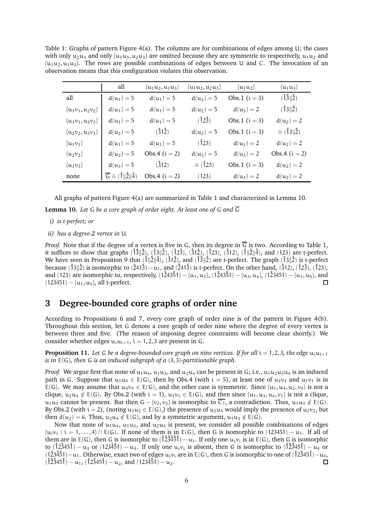<span id="page-5-0"></span>Table 1: Graphs of pattern Figure  $4(a)$ . The columns are for combinations of edges among U; the cases with only  $u_2u_3$  and only  $\{u_1u_3, u_2u_3\}$  are omitted because they are symmetric to respectively,  $u_1u_2$  and  $\{u_1u_2, u_1u_3\}$ . The rows are possible combinations of edges between U and C. The invocation of an observation means that this configuration violates this observation.

|                      | all                                               | $\{u_1u_2, u_1u_3\}$ | $\{u_1u_2, u_2u_3\}$ | $\{u_1u_2\}$    | $\{u_1u_3\}$                |
|----------------------|---------------------------------------------------|----------------------|----------------------|-----------------|-----------------------------|
| all                  | $d(u_1) = 5$                                      | $d(u_1) = 5$         | $d(u_2) = 5$         | Obs.1 $(i = 3)$ | $(\hat{1}\hat{3}  \hat{2})$ |
| $\{u_1v_1, u_2v_2\}$ | $d(u_1) = 5$                                      | $d(u_1) = 5$         | $d(u_2) = 5$         | $d(u_3) = 2$    | $(\hat{1}3  \hat{2})$       |
| $\{u_1v_1, u_3v_3\}$ | $d(u_1) = 5$                                      | $d(u_1) = 5$         | $(\hat{1}2\hat{3})$  | Obs.1 $(i = 3)$ | $d(u_2) = 2$                |
| $\{u_2v_2, u_3v_3\}$ | $d(u_2) = 5$                                      | (312)                | $d(u_2) = 5$         | Obs.1 $(i = 3)$ | $\cong$ (13  2)             |
| $\{u_1v_1\}$         | $d(u_1) = 5$                                      | $d(u_1) = 5$         | $(\hat{1}23)$        | $d(u_3) = 2$    | $d(u_2) = 2$                |
| $\{u_2v_2\}$         | $d(u_2) = 5$                                      | Obs.4 $(i = 2)$      | $d(u_2) = 5$         | $d(u_3) = 2$    | Obs.4 $(i = 2)$             |
| $\{u_3v_3\}$         | $d(u_3) = 5$                                      | (312)                | $\cong$ (123)        | Obs.1 $(i = 3)$ | $d(u_2) = 2$                |
| none                 | $\overline{G} \cong (\hat{1} \ \hat{2}\ \hat{4})$ | Obs.4 $(i = 2)$      | (123)                | $d(u_3) = 2$    | $d(u_2) = 2$                |

All graphs of pattern Figure [4\(](#page-4-0)a) are summarized in Table [1](#page-5-0) and characterized in Lemma [10.](#page-5-1)

<span id="page-5-1"></span>**Lemma 10.** Let G be a core graph of order eight. At least one of G and  $\overline{G}$ 

- *i) is t-perfect; or*
- *ii) has a degree-2 vertex in* U*.*

*Proof.* Note that if the degree of a vertex is five in G, then its degree in  $\overline{G}$  is two. According to Table [1,](#page-5-0) it suffices to show that graphs  $(\hat{1}\hat{3}||\hat{2})$ ,  $(\hat{1}3||\hat{2})$ ,  $(\hat{1}2\hat{3})$ ,  $(\hat{3}1\hat{2})$ ,  $(\hat{1}23)\hat{2}$ ,  $(\hat{1}||\hat{2}||\hat{4})$ , and (123) are t-perfect. We have seen in Proposition [9](#page-4-3) that  $(\hat{1}||2||4)$ ,  $(\hat{3}1\hat{2})$ , and  $(\hat{1}\hat{3}||2)$  are t-perfect. The graph  $(\hat{1}3||2)$  is t-perfect because ( $\hat{1}3\hat{2}$ ) is isomorphic to ( $\hat{2}41\hat{3}$ ) – $u_1$ , and ( $\hat{2}41\hat{3}$ ) is t-perfect. On the other hand, ( $\hat{3}12$ ), ( $\hat{1}23$ ), ( $\hat{1}23$ ), ( $\hat{1}23$ ), ( $\hat{1}23$ ), ( $\hat{1}23$ ), ( $\hat{1}23$ ), ( $\hat{1}23$ and (123) are isomorphic to, respectively,  $(1\dot{2}43\dot{5}1) - (u_1, u_2)$ ,  $(1\dot{2}43\dot{5}1) - (u_3, u_4)$ ,  $(1\dot{2}3451) - (u_1, u_5)$ , and  $(123451) - \{u_1, u_5\}$ , all t-perfect.  $\Box$ 

### <span id="page-5-3"></span>**3 Degree-bounded core graphs of order nine**

According to Propositions [6](#page-3-2) and [7,](#page-3-3) every core graph of order nine is of the pattern in Figure [4\(](#page-4-0)b). Throughout this section, let G denote a core graph of order nine where the degree of every vertex is between three and five. (The reason of imposing degree constraints will become clear shortly.) We consider whether edges  $u_i u_{i+1}$ ,  $i = 1, 2, 3$  are present in G.

<span id="page-5-2"></span>**Proposition 11.** Let G be a degree-bounded core graph on nine vertices. If for all  $i = 1, 2, 3$ , the edge  $u_i u_{i+1}$ *is in* E(G)*, then* G *is an induced subgraph of a* (3, 3)*-partitionable graph.*

*Proof.* We argue first that none of  $u_1u_4$ ,  $u_1u_3$ , and  $u_2u_4$  can be present in G; i.e.,  $u_1u_2u_3u_4$  is an induced path in G. Suppose that  $u_1u_4 \in E(G)$ , then by Obs[.4](#page-4-2) (with  $i = 5$ ), at least one of  $u_4v_4$  and  $u_1v_1$  is in E(G). We may assume that  $u_4v_4 \in E(G)$ , and the other case is symmetric. Since  $\{u_1, u_4, u_2, v_4\}$  is not a clique,  $u_2u_4 \notin E(G)$ . By Obs[.2](#page-4-4) (with  $i = 1$ ),  $u_1v_1 \in E(G)$ , and then since  $\{u_1, u_3, u_4, v_1\}$  is not a clique,  $u_1u_3$  cannot be present. But then G – {v<sub>2</sub>, v<sub>3</sub>} is isomorphic to  $\overline{C_7}$ , a contradiction. Thus,  $u_1u_4 \notin E(G)$ . By Obs[.2](#page-4-4) (with  $i = 2$ ), (noting  $u_1u_2 \in E(G)$ ), the presence of  $u_2u_4$  would imply the presence of  $u_2v_2$ , but then  $d(u_2) = 6$ . Thus,  $u_2u_4 \notin E(G)$ , and by a symmetric argument,  $u_1u_3 \notin E(G)$ .

Now that none of  $u_1u_4$ ,  $u_1u_3$ , and  $u_2u_4$  is present, we consider all possible combinations of edges  $\{u_i v_i \mid i = 1, \ldots, 4\} \cap E(G)$ . If none of them is in  $E(G)$ , then G is isomorphic to (123451) – u<sub>1</sub>. If all of them are in E(G), then G is isomorphic to  $(\hat{1}\hat{2}\hat{3}\hat{4}\hat{5}\hat{1}) - u_1$ . If only one  $u_i v_i$  is in E(G), then G is isomorphic to  $(\hat{1}2\hat{3}45\hat{1}) - u_3$  or  $(123\hat{4}51) - u_4$ . If only one  $u_i v_i$  is absent, then G is isomorphic to  $(\hat{1}2\hat{3}45\hat{1}) - u_4$  or  $(1\hat{2}3\hat{4}51)-u_1$ . Otherwise, exact two of edges  $u_iv_i$  are in E(G), then G is isomorphic to one of  $(\hat{1}2\hat{3}45\hat{1})-u_4$ ,  $(\hat{1}\hat{2}\hat{3}45\hat{1}) - u_1$ ,  $(\hat{1}\hat{2}\hat{3}45\hat{1}) - u_2$ , and  $(123\hat{4}\hat{5}1) - u_2$ .  $\Box$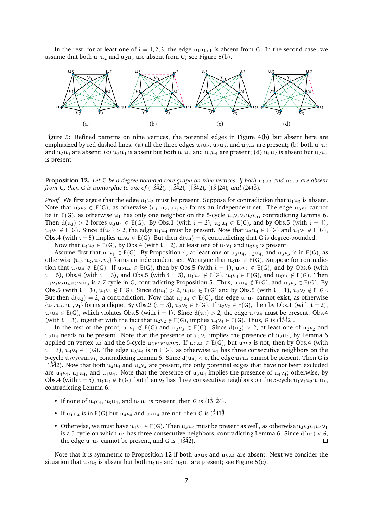In the rest, for at least one of  $i = 1, 2, 3$ , the edge  $u_i u_{i+1}$  is absent from G. In the second case, we assume that both  $u_1u_2$  and  $u_2u_3$  are absent from G; see Figure [5\(](#page-6-0)b).

<span id="page-6-0"></span>

Figure 5: Refined patterns on nine vertices, the potential edges in Figure [4\(](#page-4-0)b) but absent here are emphasized by red dashed lines. (a) all the three edges  $u_1u_2$ ,  $u_2u_3$ , and  $u_3u_4$  are present; (b) both  $u_1u_2$ and  $u_2u_3$  are absent; (c)  $u_2u_3$  is absent but both  $u_1u_2$  and  $u_3u_4$  are present; (d)  $u_1u_2$  is absent but  $u_2u_3$ is present.

#### <span id="page-6-1"></span>**Proposition 12.** *Let* G *be a degree-bounded core graph on nine vertices. If both*  $u_1u_2$  *and*  $u_2u_3$  *are absent from* G, then G is isomorphic to one of  $(1\frac{3}{4})$ ,  $(1\frac{3}{4}2)$ ,  $(1\frac{3}{4}2)$ ,  $(1\frac{3}{24})$ *, and*  $(241\frac{3}{4})$ *.*

*Proof.* We first argue that the edge  $u_1u_3$  must be present. Suppose for contradiction that  $u_1u_3$  is absent. Note that  $u_2v_2 \in E(G)$ , as otherwise  $\{u_1, u_2, u_3, v_2\}$  forms an independent set. The edge  $u_3v_3$  cannot be in E(G), as otherwise  $u_1$  has only one neighbor on the 5-cycle  $u_3v_3v_2u_2v_5$ , contradicting Lemma [6.](#page-3-2) Then  $d(u_3) > 2$  forces  $u_3u_4 \in E(G)$ . By Obs[.1](#page-4-1) (with  $i = 2$ ),  $u_2u_4 \in E(G)$ , and by Obs[.5](#page-4-5) (with  $i = 1$ ),  $u_1v_1 \notin E(G)$ . Since  $d(u_1) > 2$ , the edge  $u_1u_4$  must be present. Now that  $u_3u_4 \in E(G)$  and  $u_1v_1 \notin E(G)$ , Obs[.4](#page-4-2) (with  $i = 5$ ) implies  $u_4v_4 \in E(G)$ . But then  $d(u_4) = 6$ , contradicting that G is degree-bounded.

Now that  $u_1u_3 \in E(G)$ , by Obs[.4](#page-4-2) (with  $i = 2$ ), at least one of  $u_1v_1$  and  $u_3v_3$  is present.

Assume first that  $u_1v_1 \in E(G)$ . By Proposition [4,](#page-3-1) at least one of  $u_3u_4$ ,  $u_2u_4$ , and  $u_3v_3$  is in  $E(G)$ , as otherwise  $\{u_2, u_3, u_4, v_3\}$  forms an independent set. We argue that  $u_3u_4 \in E(G)$ . Suppose for contradiction that  $u_3u_4 \notin E(G)$ . If  $u_2u_4 \in E(G)$ , then by Obs[.5](#page-4-5) (with  $i = 1$ ),  $u_2v_2 \notin E(G)$ ; and by Obs[.6](#page-4-6) (with  $i = 5$ , Obs[.4](#page-4-2) (with  $i = 3$ ), and Obs[.5](#page-4-5) (with  $i = 3$ ),  $u_1u_4 \notin E(G)$ ,  $u_4v_4 \in E(G)$ , and  $u_3v_3 \notin E(G)$ . Then  $u_1v_3v_2u_4u_2v_5u_3$  is a 7-cycle in G, contradicting Proposition [5.](#page-3-4) Thus,  $u_2u_4 \notin E(G)$ , and  $u_3v_3 \in E(G)$ . By Obs[.5](#page-4-5) (with i = 3),  $u_4v_4 \notin E(G)$ . Since  $d(u_4) > 2$ ,  $u_1u_4 \in E(G)$  and by Obs.5 (with i = 1),  $u_2v_2 \notin E(G)$ . But then  $d(u_2) = 2$ , a contradiction. Now that  $u_3u_4 \in E(G)$ , the edge  $u_1u_4$  cannot exist, as otherwise  $\{u_1, u_3, u_4, v_1\}$  forms a clique. By Obs[.2](#page-4-4) (i = 3),  $u_3v_3 \in E(G)$ . If  $u_2v_2 \in E(G)$ , then by Obs[.1](#page-4-1) (with i = 2),  $u_2u_4 \in E(G)$ , which violates Obs[.5](#page-4-5) (with  $i = 1$ ). Since  $d(u_2) > 2$ , the edge  $u_2u_4$  must be present. Obs[.4](#page-4-2) (with i = 3), together with the fact that  $u_2v_2 \notin E(G)$ , implies  $u_4v_4 \in E(G)$ . Thus, G is (1342).

In the rest of the proof,  $u_1v_1 \notin E(G)$  and  $u_3v_3 \in E(G)$ . Since  $d(u_2) > 2$ , at least one of  $u_2v_2$  and  $u_2u_4$  needs to be present. Note that the presence of  $u_2v_2$  implies the presence of  $u_2u_4$ , by Lemma [6](#page-3-2) applied on vertex u<sub>4</sub> and the 5-cycle u<sub>3</sub>v<sub>3</sub>v<sub>2</sub>u<sub>2</sub>v<sub>5</sub>. If u<sub>2</sub>u<sub>4</sub>  $\in$  E(G), but u<sub>2</sub>v<sub>2</sub> is not, then by Obs[.4](#page-4-2) (with  $i = 3$ ,  $u_4v_4 \in E(G)$ . The edge  $u_3u_4$  is in  $E(G)$ , as otherwise  $u_1$  has three consecutive neighbors on the 5-cycle  $u_3v_3v_4u_4v_1$ , contradicting Lemma [6.](#page-3-2) Since  $d(u_4) < 6$ , the edge  $u_1u_4$  cannot be present. Then G is  $(1342)$ . Now that both  $u_2u_4$  and  $u_2v_2$  are present, the only potential edges that have not been excluded are  $u_4v_4$ ,  $u_3u_4$ , and  $u_1u_4$ . Note that the presence of  $u_3u_4$  implies the presence of  $u_4v_4$ ; otherwise, by Obs[.4](#page-4-2) (with  $i = 5$ ),  $u_1u_4 \notin E(G)$ , but then  $v_3$  has three consecutive neighbors on the 5-cycle  $u_1v_4u_2u_4u_3$ , contradicting Lemma [6.](#page-3-2)

- If none of  $u_4v_4$ ,  $u_3u_4$ , and  $u_1u_4$  is present, then G is (1\3\{\digma{2}4}.
- If  $u_1u_4$  is in E(G) but  $u_4v_4$  and  $u_3u_4$  are not, then G is (2413).
- Otherwise, we must have  $u_4v_4 \in E(G)$ . Then  $u_3u_4$  must be present as well, as otherwise  $u_3v_3v_4u_4v_1$ is a 5-cycle on which  $u_1$  has three consecutive neighbors, contradicting Lemma [6.](#page-3-2) Since  $d(u_4) < 6$ , the edge  $u_1u_4$  cannot be present, and G is (1342).  $\Box$

Note that it is symmetric to Proposition [12](#page-6-1) if both  $u_2u_3$  and  $u_3u_4$  are absent. Next we consider the situation that  $u_2u_3$  is absent but both  $u_1u_2$  and  $u_3u_4$  are present; see Figure [5\(](#page-6-0)c).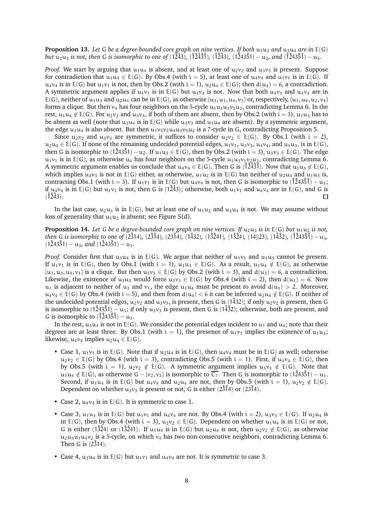**Proposition 13.** Let G be a degree-bounded core graph on nine vertices. If both  $u_1u_2$  and  $u_3u_4$  are in  $E(G)$ *but*  $u_2u_3$  *is not, then* G *is isomorphic to one of* ( $1\overline{243}$ ,  $(1\overline{243}$ )<sup>2</sup>, ( $1\overline{243}$ <sup>5</sup>)<sup>1</sup>) −  $u_7$ , *and* ( $1\overline{1243}$ 5<sup>2</sup>)<sup>1</sup>) −  $u_7$ .

*Proof.* We start by arguing that  $u_1u_4$  is absent, and at least one of  $u_2v_2$  and  $u_3v_3$  is present. Suppose for contradiction that  $u_1u_4 \in E(G)$ . By Obs[.4](#page-4-2) (with  $i = 5$ ), at least one of  $u_4v_4$  and  $u_1v_1$  is in E(G). If  $u_4v_4$  is in E(G) but  $u_1v_1$  is not, then by Obs[.2](#page-4-4) (with  $i = 1$ ),  $u_2u_4 \in E(G)$ ; then  $d(u_4) = 6$ , a contradiction. A symmetric argument applies if  $u_1v_1$  is in E(G) but  $u_4v_4$  is not. Now that both  $u_1v_1$  and  $u_4v_4$  are in E(G), neither of  $u_1u_3$  and  $u_2u_4$  can be in E(G), as otherwise  $\{u_3, u_1, u_4, v_1\}$  or, respectively,  $\{u_1, u_4, u_2, v_4\}$ forms a clique. But then  $v_4$  has four neighbors on the 5-cycle  $u_1u_4u_3v_5u_2$ , contradicting Lemma [6.](#page-3-2) In the rest,  $u_1u_4 \notin E(G)$ . For  $u_2v_2$  and  $u_3v_3$ , if both of them are absent, then by Obs[.2](#page-4-4) (with  $i = 3$ ),  $u_1u_3$  has to be absent as well (note that  $u_3u_4$  is in E(G) while  $u_3v_3$  and  $u_1u_4$  are absent). By a symmetric argument, the edge  $u_2u_4$  is also absent. But then  $u_1v_3v_2u_4u_3v_5u_2$  is a 7-cycle in G, contradicting Proposition [5.](#page-3-4)

Since  $u_2v_2$  and  $u_3v_3$  are symmetric, it suffices to consider  $u_2v_2 \in E(G)$ . By Obs[.1](#page-4-1) (with  $i = 2$ ),  $u_2u_4 \in E(G)$ . If none of the remaining undecided potential edges,  $u_1v_1$ ,  $u_3v_3$ ,  $u_4v_4$ , and  $u_1u_3$ , is in  $E(G)$ , then G is isomorphic to  $(1\overline{2}43\overline{5}1) - u_2$ . If  $u_1u_3 \in E(G)$ , then by Obs[.2](#page-4-4) (with  $i = 3$ ),  $u_3v_3 \in E(G)$ . The edge  $u_1v_1$  is in E(G), as otherwise  $u_4$  has four neighbors on the 5-cycle  $u_1u_3v_1v_2u_2$ , contradicting Lemma [6.](#page-3-2) A symmetric argument enables us conclude that  $u_4v_4 \in E(G)$ . Then G is ( $\check{1}\check{2}\check{4}\check{3}\check{3}$ ). Now that  $u_1u_3 \notin E(G)$ , which implies  $u_3v_3$  is not in E(G) either, as otherwise,  $u_1u_2$  is in E(G) but neither of  $u_2u_3$  and  $u_1u_3$  is, contracting Obs[.1](#page-4-1) (with i = 3). If  $u_1v_1$  is in E(G) but  $u_4v_4$  is not, then G is isomorphic to  $(\hat{1}\hat{2}43\hat{5}\hat{1}) - u_5$ ; if  $u_4v_4$  is in E(G) but  $u_1v_1$  is not, then G is (12<sup>4</sup>3); otherwise, both  $u_1v_1$  and  $u_4v_4$  are in E(G), and G is  $(1243)$ .  $\Box$ 

In the last case,  $u_2u_3$  is in E(G), but at least one of  $u_1u_2$  and  $u_3u_4$  is not. We may assume without loss of generality that  $u_1u_2$  is absent; see Figure [5\(](#page-6-0)d).

<span id="page-7-0"></span>**Proposition 14.** Let G be a degree-bounded core graph on nine vertices. If  $u_2u_3$  is in  $E(G)$  but  $u_1u_2$  is not, *then* G *is isomorphic to one of* (2314), (2314), (2314), (1432), (13241), (1324), (14||23), (1432), (124351) − u<sub>3</sub>,  $(1\angle 43\angle 51) - u_3$ , and  $(1\angle 243\angle 51) - u_1$ .

*Proof.* Consider first that  $u_3u_4$  is in E(G). We argue that neither of  $u_1v_1$  and  $u_1u_3$  cannot be present. If  $u_1v_1$  is in E(G), then by Obs[.1](#page-4-1) (with  $i = 1$ ),  $u_1u_3 \in E(G)$ . As a result,  $u_1u_4 \notin E(G)$ , as otherwise  $\{u_1, u_3, u_4, v_1\}$  is a clique. But then  $u_3v_3 \in E(G)$  by Obs[.2](#page-4-4) (with  $i = 3$ ), and  $d(u_3) = 6$ , a contradiction. Likewise, the existence of u<sub>1</sub>u<sub>3</sub> would force u<sub>3</sub>v<sub>3</sub>  $\in$  E(G) by Obs[.4](#page-4-2) (with i = 2), then d(u<sub>3</sub>) = 6. Now  $u_1$  is adjacent to neither of  $u_3$  and  $v_1$ , the edge  $u_1u_4$  must be present to avoid  $d(u_1) > 2$ . Moreover,  $u_4v_4 \in E(G)$  by Obs[.4](#page-4-2) (with  $i = 5$ ), and then from  $d(u_4) < 6$  it can be inferred  $u_2u_4 \notin E(G)$ . If neither of the undecided potential edges,  $u_2v_2$  and  $u_3v_3$ , is present, then G is (1432); if only  $u_2v_2$  is present, then G is isomorphic to  $(1\hat{2}43\hat{5}1) - u_3$ ; if only  $u_3v_3$  is present, then G is  $(1\hat{4}3\hat{2})$ ; otherwise, both are present, and G is isomorphic to  $(\hat{1}\hat{2}43\hat{5}\hat{1}) - u_3$ .

In the rest,  $u_3u_4$  is not in E(G). We consider the potential edges incident to  $u_1$  and  $u_4$ ; note that their degrees are at least three. By Obs[.1](#page-4-1) (with  $i = 1$ ), the presence of  $u_1v_1$  implies the existence of  $u_1u_3$ ; likewise,  $u_4v_4$  implies  $u_2u_4 \in E(G)$ .

- Case 1,  $u_1v_1$  is in E(G). Note that if  $u_2u_4$  is in E(G), then  $u_4v_4$  must be in E(G) as well; otherwise  $u_2v_2 \in E(G)$  by Obs[.4](#page-4-2) (with i = 3), contradicting Obs[.5](#page-4-5) (with i = 1). First, if  $u_4v_4 \in E(G)$ , then by Obs[.5](#page-4-5) (with  $i = 1$ ),  $u_2v_2 \notin E(G)$ . A symmetric argument implies  $u_3v_3 \notin E(G)$ . Note that  $u_1u_4 \notin E(G)$ , as otherwise G – {v<sub>2</sub>, v<sub>3</sub>} is isomorphic to  $\overline{C_7}$ . Then G is isomorphic to (124351) –  $u_1$ . Second, if  $u_1u_4$  is in E(G) but  $u_4v_4$  and  $u_2u_4$  are not, then by Obs[.5](#page-4-5) (with  $i = 1$ ),  $u_2v_2 \notin E(G)$ . Dependent on whether  $u_3v_3$  is present or not, G is either (23<sup>†</sup>4) or (23<sup>†</sup>4).
- Case 2,  $u_4v_4$  is in  $E(G)$ . It is symmetric to case 1.
- Case 3,  $u_1u_3$  is in E(G) but  $u_1v_1$  and  $u_4v_4$  are not. By Obs[.4](#page-4-2) (with  $i = 2$ ),  $u_3v_3 \in E(G)$ . If  $u_2u_4$  is in E(G), then by Obs[.4](#page-4-2) (with  $i = 3$ ),  $u_2v_2 \in E(G)$ . Dependent on whether  $u_1u_4$  is in E(G) or not, G is either (1324) or (13241). If  $u_1u_4$  is in E(G) but  $u_2u_4$  is not, then  $u_2v_2 \notin E(G)$ , as otherwise  $u_2u_3u_1u_4v_2$  is a 5-cycle, on which  $v_4$  has two non-consecutive neighbors, contradicting Lemma [6.](#page-3-2) Then G is  $(2314)$ .
- Case 4,  $u_2u_4$  is in  $E(G)$  but  $u_1v_1$  and  $u_4v_4$  are not. It is symmetric to case 3.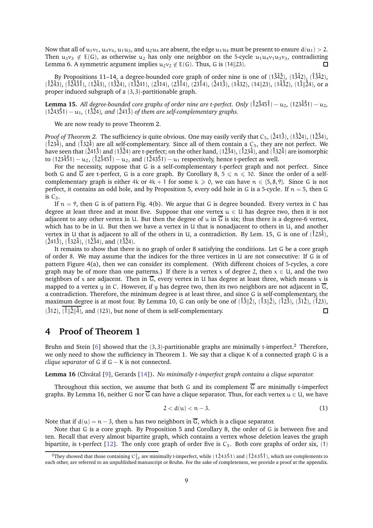Now that all of  $u_1v_1$ ,  $u_4v_4$ ,  $u_1u_3$ , and  $u_2u_4$  are absent, the edge  $u_1u_4$  must be present to ensure  $d(u_1) > 2$ . Then  $u_3v_3 \notin E(G)$ , as otherwise  $u_2$  has only one neighbor on the 5-cycle  $u_1u_4v_1u_3v_3$ , contradicting Lemma [6.](#page-3-2) A symmetric argument implies  $u_2v_2 \notin E(G)$ . Thus, G is (14||23).  $\Box$ 

By Propositions [11](#page-5-2)[–14,](#page-7-0) a degree-bounded core graph of order nine is one of  $(1\overset{3}{2}\overset{3}{4}2)$ ,  $(1\overset{3}{3}\overset{4}{4}2)$ ,  $(1\overset{3}{3}\overset{4}{4}2)$ ,  $(1243)$ ,  $(12431)$ ,  $(1243)$ ,  $(1324)$ ,  $(13241)$ ,  $(2314)$ ,  $(2314)$ ,  $(2314)$ ,  $(2413)$ ,  $(1432)$ ,  $(14||23)$ ,  $(14||23)$ ,  $(13||24)$ , or a proper induced subgraph of a (3, 3)-partitionable graph.

<span id="page-8-0"></span>**Lemma 15.** *All degree-bounded core graphs of order nine are t-perfect. Only* (˚12˚345˚1) − u2*,* (123˚4˚51) − u2*,*  $(1\hat{2}43\hat{5}1) - u_1$ ,  $(1\hat{3}\hat{2}4)$ , and  $(\hat{2}41\hat{3})$  *of them are self-complementary graphs.* 

We are now ready to prove Theorem [2.](#page-1-3)

*Proof of Theorem [2.](#page-1-3)* The sufficiency is quite obvious. One may easily verify that  $C_5$ ,  $(\hat{2}41\hat{3})$ ,  $(1\hat{3}\hat{2}4)$ ,  $(1\hat{2}\hat{3}4)$ ,  $(1234)$ , and  $(1324)$  are all self-complementary. Since all of them contain a C<sub>5</sub>, they are not perfect. We have seen that  $(241\bar{3})$  and  $(13\bar{2}4)$  are t-perfect; on the other hand,  $(123\bar{4})$ ,  $(123\bar{4})$ , and  $(132\bar{4})$  are isomorphic to (123 $\frac{3}{5}$ 1) – u<sub>2</sub>, (123 $\frac{3}{5}$ ) – u<sub>2</sub>, and (12 $\frac{3}{5}$ 1) – u<sub>1</sub> respectively, hence t-perfect as well.

For the necessity, suppose that G is a self-complementary t-perfect graph and not perfect. Since both G and  $\overline{G}$  are t-perfect, G is a core graph. By Corollary [8,](#page-3-5)  $5 \le n \le 10$ . Since the order of a selfcomplementary graph is either 4k or  $4k + 1$  for some  $k \ge 0$ , we can have  $n \in \{5, 8, 9\}$ . Since G is not perfect, it contains an odd hole, and by Proposition [5,](#page-3-4) every odd hole in G is a 5-cycle. If  $n = 5$ , then G is  $C_5$ .

If  $n = 9$ , then G is of pattern Fig. [4\(](#page-4-0)b). We argue that G is degree bounded. Every vertex in C has degree at least three and at most five. Suppose that one vertex  $u \in U$  has degree two, then it is not adjacent to any other vertex in U. But then the degree of u in  $\overline{G}$  is six; thus there is a degree-6 vertex, which has to be in U. But then we have a vertex in U that is nonadjacent to others in U, and another vertex in U that is adjacent to all of the others in U, a contradiction. By Lem. [15,](#page-8-0) G is one of  $(1234)$ ,  $(241\overline{3})$ ,  $(132\overline{4})$ ,  $(12\overline{3}4)$ , and  $(13\overline{2}4)$ .

It remains to show that there is no graph of order 8 satisfying the conditions. Let G be a core graph of order 8. We may assume that the indices for the three vertices in U are not consecutive: If G is of pattern Figure [4\(](#page-4-0)a), then we can consider its complement. (With different choices of 5-cycles, a core graph may be of more than one patterns.) If there is a vertex x of degree 2, then  $x \in U$ , and the two neighbors of x are adjacent. Then in  $\overline{G}$ , every vertex in U has degree at least three, which means x is mapped to a vertex y in C. However, if y has degree two, then its two neighbors are not adjacent in  $\overline{G}$ , a contradiction. Therefore, the minimum degree is at least three, and since G is self-complementary, the maximum degree is at most four. By Lemma [10,](#page-5-1) G can only be one of  $(\frac{3}{13}||\frac{3}{2}), (\frac{3}{12}, (\frac{3}{12}), (\frac{3}{12}), (\frac{3}{12})$ ,  $(\frac{3}{12}, (\frac{3}{12}), (\frac{3}{12}, \frac{3}{12})$  $(\hat{3}12)$ ,  $(\hat{1}||\hat{2}||\hat{4})$ , and (123), but none of them is self-complementary.  $\Box$ 

### **4 Proof of Theorem [1](#page-1-4)**

Bruhn and Stein [\[6\]](#page-11-9) showed that the  $(3, 3)$ -partitionable graphs are minimally t-imperfect.<sup>[2](#page-8-1)</sup> Therefore, we only need to show the sufficiency in Theorem [1.](#page-1-4) We say that a clique K of a connected graph G is a *clique separator* of G if G − K is not connected.

<span id="page-8-2"></span>Lemma 16 (Chvátal [\[9\]](#page-11-1), Gerards [\[14\]](#page-12-10)). *No minimally t-imperfect graph contains a clique separator.* 

Throughout this section, we assume that both G and its complement  $\overline{G}$  are minimally t-imperfect graphs. By Lemma [16,](#page-8-2) neither G nor  $\overline{G}$  can have a clique separator. Thus, for each vertex  $u \in U$ , we have

<span id="page-8-3"></span>
$$
2 < d(u) < n-3. \tag{1}
$$

Note that if  $d(u) = n - 3$ , then u has two neighbors in  $\overline{G}$ , which is a clique separator.

Note that G is a core graph. By Proposition [5](#page-3-4) and Corollary [8,](#page-3-5) the order of G is between five and ten. Recall that every almost bipartite graph, which contains a vertex whose deletion leaves the graph bipartite, is t-perfect [\[12\]](#page-12-4). The only core graph of order five is  $C_5$ . Both core graphs of order six, (1)

<span id="page-8-1"></span> $^2$ They showed that those containing C $_{10}^2$  are minimally t-imperfect, while (12̊435̊1) and (1̊2̊435̊1̊), which are complements to each other, are referred to an unpublished manuscript or Bruhn. For the sake of completeness, we provide a proof at the appendix.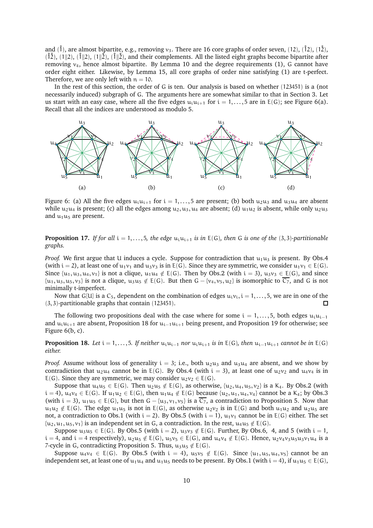and ( $\hat{1}$ ), are almost bipartite, e.g., removing  $v_3$ . There are 16 core graphs of order seven, (12), ( $\hat{1}$ 2), ( $\hat{1}$ 2),  $(\hat{12})$ ,  $(1||2)$ ,  $(\hat{1}||2)$ ,  $(\hat{1}||2)$ ,  $(\hat{1}||2)$ , and their complements. All the listed eight graphs become bipartite after removing  $v_4$ , hence almost bipartite. By Lemma [10](#page-5-1) and the degree requirements [\(1\)](#page-8-3), G cannot have order eight either. Likewise, by Lemma [15,](#page-8-0) all core graphs of order nine satisfying [\(1\)](#page-8-3) are t-perfect. Therefore, we are only left with  $n = 10$ .

In the rest of this section, the order of G is ten. Our analysis is based on whether (123451) is a (not necessarily induced) subgraph of G. The arguments here are somewhat similar to that in Section [3.](#page-5-3) Let us start with an easy case, where all the five edges  $u_i u_{i+1}$  for  $i = 1, \ldots, 5$  are in  $E(G)$ ; see Figure [6\(](#page-9-0)a). Recall that all the indices are understood as modulo 5.

<span id="page-9-0"></span>

Figure 6: (a) All the five edges  $u_iu_{i+1}$  for  $i = 1, ..., 5$  are present; (b) both  $u_2u_3$  and  $u_3u_4$  are absent while  $u_2u_4$  is present; (c) all the edges among  $u_2, u_3, u_4$  are absent; (d)  $u_1u_2$  is absent, while only  $u_2u_3$ and  $u_1u_5$  are present.

<span id="page-9-2"></span>**Proposition 17.** *If for all*  $i = 1, \ldots, 5$ *, the edge*  $u_i u_{i+1}$  *is in*  $E(G)$ *, then* G *is one of the* (3,3)*-partitionable graphs.*

*Proof.* We first argue that U induces a cycle. Suppose for contradiction that  $u_1u_3$  is present. By Obs[.4](#page-4-2) (with i = 2), at least one of  $u_1v_1$  and  $u_3v_3$  is in E(G). Since they are symmetric, we consider  $u_1v_1 \in E(G)$ . Since  $\{u_1, u_3, u_4, v_1\}$  is not a clique,  $u_1u_4 \notin E(G)$ . Then by Obs[.2](#page-4-4) (with  $i = 3$ ),  $u_3v_3 \in E(G)$ , and since  $\{u_1, u_3, u_5, v_3\}$  is not a clique,  $u_3u_5 \notin E(G)$ . But then  $G - \{v_4, v_5, u_2\}$  is isomorphic to  $\overline{C_7}$ , and G is not minimally t-imperfect.

Now that G[U] is a  $C_5$ , dependent on the combination of edges  $u_i v_i$ ,  $i = 1, \ldots, 5$ , we are in one of the (3, 3)-partitionable graphs that contain (123451).  $\Box$ 

The following two propositions deal with the case where for some  $i = 1, \ldots, 5$ , both edges  $u_i u_{i-1}$ and  $u_iu_{i+1}$  are absent, Proposition [18](#page-9-1) for  $u_{i-1}u_{i+1}$  being present, and Proposition [19](#page-10-0) for otherwise; see Figure [6\(](#page-9-0)b, c).

<span id="page-9-1"></span>**Proposition 18.** *Let*  $i = 1, \ldots, 5$ *. If neither*  $u_i u_{i-1}$  *nor*  $u_i u_{i+1}$  *is in* E(G)*, then*  $u_{i-1} u_{i+1}$  *cannot be in* E(G) *either.*

*Proof.* Assume without loss of generality  $i = 3$ ; i.e., both  $u_2u_3$  and  $u_3u_4$  are absent, and we show by contradiction that  $u_2u_4$  cannot be in E(G). By Obs[.4](#page-4-2) (with  $i = 3$ ), at least one of  $u_2v_2$  and  $u_4v_4$  is in E(G). Since they are symmetric, we may consider  $u_2v_2 \in E(G)$ .

Suppose that  $u_4u_5 \in E(G)$ . Then  $u_2u_5 \notin E(G)$ , as otherwise,  $\{u_2, u_4, u_5, v_2\}$  is a K<sub>4</sub>. By Obs[.2](#page-4-4) (with  $i = 4$ ),  $u_4v_4 \in E(G)$ . If  $u_1u_2 \in E(G)$ , then  $u_1u_4 \notin E(G)$  because  $\{u_2, u_1, u_4, v_4\}$  cannot be a K<sub>4</sub>; by Obs[.3](#page-4-7) (with  $i = 3$ ),  $u_1u_5 \in E(G)$ , but then  $G - {u_3, v_1, v_5}$  is a  $\overline{C_7}$ , a contradiction to Proposition [5.](#page-3-4) Now that  $u_1u_2 \notin E(G)$ . The edge  $u_1u_5$  is not in E(G), as otherwise  $u_2v_2$  is in E(G) and both  $u_1u_2$  and  $u_2u_5$  are not, a contradiction to Obs[.1](#page-4-1) (with i = 2). By Obs[.5](#page-4-5) (with i = 1),  $u_1v_1$  cannot be in  $E(G)$  either. The set  $\{u_2, u_1, u_5, v_1\}$  is an independent set in G, a contradiction. In the rest,  $u_4u_5 \notin E(G)$ .

Suppose  $u_3u_5 \in E(G)$ . By Obs[.5](#page-4-5) (with  $i = 2$ ),  $u_3v_3 \notin E(G)$ . Further, By Obs[.6,](#page-4-6) [4,](#page-4-2) and [5](#page-4-5) (with  $i = 1$ ,  $i = 4$ , and  $i = 4$  respectively),  $u_2u_5 \notin E(G)$ ,  $u_5v_5 \in E(G)$ , and  $u_4v_4 \notin E(G)$ . Hence,  $u_2v_4v_3u_5u_3v_1u_4$  is a 7-cycle in G, contradicting Proposition [5.](#page-3-4) Thus,  $u_3u_5 \notin E(G)$ .

Suppose  $u_4v_4 \in E(G)$ . By Obs[.5](#page-4-5) (with  $i = 4$ ),  $u_5v_5 \notin E(G)$ . Since  $\{u_1, u_5, u_4, v_5\}$  cannot be an independent set, at least one of  $u_1u_4$  and  $u_1u_5$  needs to be present. By Obs[.1](#page-4-1) (with  $i = 4$ ), if  $u_1u_5 \in E(G)$ ,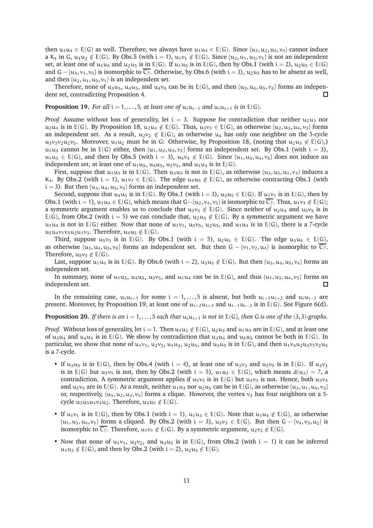then  $u_1u_4 \in E(G)$  as well. Therefore, we always have  $u_1u_4 \in E(G)$ . Since  $\{u_1, u_2, u_4, v_4\}$  cannot induce a K<sub>4</sub> in G, u<sub>1</sub>u<sub>2</sub> ∉ E(G). By Obs[.5](#page-4-5) (with i = 1), u<sub>1</sub>v<sub>1</sub> ∉ E(G). Since {u<sub>2</sub>, u<sub>1</sub>, u<sub>5</sub>, v<sub>1</sub>} is not an independent set, at least one of  $u_1u_5$  and  $u_2u_5$  is in E(G). If  $u_1u_5$  is in E(G), then by Obs[.1](#page-4-1) (with  $i = 2$ ),  $u_2u_5 \in E(G)$ and G – {u<sub>3</sub>, v<sub>1</sub>, v<sub>5</sub>} is isomorphic to  $\overline{C_7}$ . Otherwise, by Obs[.6](#page-4-6) (with i = 3), u<sub>2</sub>u<sub>5</sub> has to be absent as well, and then  $\{u_2, u_1, u_5, v_1\}$  is an independent set.

Therefore, none of  $u_3u_5$ ,  $u_4u_5$ , and  $u_4v_4$  can be in  $E(G)$ , and then  $\{u_3, u_4, u_5, v_4\}$  forms an independent set, contradicting Proposition [4.](#page-3-1)  $\Box$ 

<span id="page-10-0"></span>**Proposition 19.** *For all*  $i = 1, \ldots, 5$ *, at least one of*  $u_i u_{i-1}$  *and*  $u_i u_{i+1}$  *is in*  $E(G)$ *.* 

*Proof.* Assume without loss of generality, let  $i = 3$ . Suppose for contradiction that neither  $u_2u_3$  nor u<sub>3</sub>u<sub>4</sub> is in E(G). By Proposition [18,](#page-9-1) u<sub>2</sub>u<sub>4</sub>  $\notin$  E(G). Thus, u<sub>3</sub>v<sub>3</sub>  $\in$  E(G), as otherwise {u<sub>2</sub>, u<sub>3</sub>, u<sub>4</sub>, v<sub>3</sub>} forms an independent set. As a result,  $u_2v_2 \notin E(G)$ , as otherwise  $u_4$  has only one neighbor on the 5-cycle u<sub>3</sub>v<sub>3</sub>v<sub>2</sub>u<sub>2</sub>v<sub>5</sub>. Moreover, u<sub>1</sub>u<sub>2</sub> must be in G: Otherwise, by Proposition [18,](#page-9-1) (noting that u<sub>2</sub>u<sub>3</sub>  $\notin$  E(G),)  $u_1u_3$  cannot be in E(G) either, then  $\{u_1, u_2, u_3, v_2\}$  forms an independent set. By Obs[.1](#page-4-1) (with  $i = 3$ ),  $u_1u_3 \in E(G)$ , and then by Obs[.5](#page-4-5) (with  $i = 3$ ),  $u_4v_4 \notin E(G)$ . Since  $\{u_1, u_5, u_4, v_5\}$  does not induce an independent set, at least one of  $u_1u_5$ ,  $u_4u_5$ ,  $u_5v_5$ , and  $u_1u_4$  is in E(G).

First, suppose that  $u_1u_5$  is in E(G). Then  $u_3u_5$  is not in E(G), as otherwise  $\{u_3, u_5, u_1, v_3\}$  induces a K<sub>4</sub>. By Obs[.2](#page-4-4) (with i = 1),  $u_1v_1 \in E(G)$ . The edge  $u_4u_5 \notin E(G)$ , as otherwise contracting Obs[.1](#page-4-1) (with  $i = 3$ ). But then  $\{u_3, u_4, u_5, v_4\}$  forms an independent set.

Second, suppose that  $u_4u_5$  is in E(G). By Obs[.1](#page-4-1) (with  $i = 3$ ),  $u_3u_5 \in E(G)$ . If  $u_1v_1$  is in E(G), then by Obs[.1](#page-4-1) (with i = 1),  $u_1u_4 \in E(G)$ , which means that  $G-[u_2, v_4, v_5]$  is isomorphic to  $\overline{C_7}$ . Thus,  $u_1v_1 \notin E(G)$ ; a symmetric argument enables us to conclude that  $u_5v_5 \notin E(G)$ . Since neither of  $u_2u_4$  and  $u_5v_5$  is in E(G), from Obs[.2](#page-4-4) (with i = 5) we can conclude that,  $u_2u_5 \notin E(G)$ . By a symmetric argument we have  $u_1u_4$  is not in E(G) either. Now that none of  $u_1v_1$ ,  $u_5v_5$ ,  $u_2u_5$ , and  $u_1u_4$  is in E(G), there is a 7-cycle  $u_5u_4v_1v_5u_2u_1v_3$ . Therefore,  $u_4u_5 \notin E(G)$ .

Third, suppose  $u_5v_5$  is in E(G). By Obs[.1](#page-4-1) (with  $i = 5$ ),  $u_2u_5 \in E(G)$ . The edge  $u_3u_5 \in E(G)$ , as otherwise  $\{u_3, u_4, u_5, v_4\}$  forms an independent set. But then  $G - \{v_1, v_2, u_4\}$  is isomorphic to  $\overline{C_7}$ . Therefore,  $u_5v_5 \notin E(G)$ .

Last, suppose  $u_1u_4$  is in E(G). By Obs[.6](#page-4-6) (with  $i = 2$ ),  $u_3u_5 \notin E(G)$ . But then  $\{u_3, u_4, u_5, v_4\}$  forms an independent set.

In summary, none of  $u_1u_5$ ,  $u_4u_5$ ,  $u_5v_5$ , and  $u_1u_4$  can be in E(G), and thus  $\{u_1, u_5, u_4, v_5\}$  forms an independent set.  $\Box$ 

In the remaining case,  $u_i u_{i+1}$  for some  $i = 1, \ldots, 5$  is absent, but both  $u_{i+1} u_{i+2}$  and  $u_i u_{i-1}$  are present. Moreover, by Proposition [19,](#page-10-0) at least one of  $u_{i+2}u_{i+3}$  and  $u_{i-1}u_{i-2}$  is in E(G). See Figure [6\(](#page-9-0)d).

<span id="page-10-1"></span>**Proposition 20.** *If there is an*  $i = 1, \ldots, 5$  *such that*  $u_i u_{i+1}$  *is not in*  $E(G)$ *, then G is one of the* (3, 3)*-graphs.* 

*Proof.* Without loss of generality, let  $i = 1$ . Then  $u_1u_2 \notin E(G)$ ,  $u_2u_3$  and  $u_1u_5$  are in  $E(G)$ , and at least one of u<sub>3</sub>u<sub>4</sub> and u<sub>4</sub>u<sub>5</sub> is in E(G). We show by contradiction that u<sub>3</sub>u<sub>4</sub> and u<sub>4</sub>u<sub>5</sub> cannot be both in E(G). In particular, we show that none of  $u_1v_1$ ,  $u_2v_2$ ,  $u_1u_3$ ,  $u_2u_5$ , and  $u_3u_5$  is in E(G), and then  $u_1v_4u_2u_3v_1v_2u_5$ is a 7-cycle.

- If  $u_3u_5$  is in E(G), then by Obs[.4](#page-4-2) (with  $i = 4$ ), at least one of  $u_3v_3$  and  $u_5v_5$  is in E(G). If  $u_3v_3$ is in E(G) but u<sub>5</sub>v<sub>5</sub> is not, then by Obs[.2](#page-4-4) (with  $i = 5$ ),  $u_1u_3 \in E(G)$ , which means  $d(u_3) = 7$ , a contradiction. A symmetric argument applies if  $u_5v_5$  is in E(G) but  $u_3v_3$  is not. Hence, both  $u_3v_3$ and  $u_5v_5$  are in E(G). As a result, neither  $u_1u_3$  nor  $u_2u_5$  can be in E(G), as otherwise  $\{u_3, u_1, u_5, v_3\}$ or, respectively,  $\{u_5, u_2, u_3, v_5\}$  forms a clique. However, the vertex  $v_3$  has four neighbors on a 5cycle  $u_3u_5u_1v_4u_2$ . Therefore,  $u_3u_5 \notin E(G)$ .
- If  $u_1v_1$  is in E(G), then by Obs[.1](#page-4-1) (with  $i = 1$ ),  $u_1u_3 \in E(G)$ . Note that  $u_1u_4 \notin E(G)$ , as otherwise  $\{u_1, u_3, u_4, v_1\}$  forms a cliqued. By Obs[.2](#page-4-4) (with  $i = 3$ ),  $u_3v_3 \in E(G)$ . But then  $G - \{v_4, v_5, u_2\}$  is isomorphic to  $\overline{C_7}$ . Therefore,  $u_1v_1 \notin E(G)$ . By a symmetric argument,  $u_2v_2 \notin E(G)$ .
- Now that none of  $u_1v_1$ ,  $u_2v_2$ , and  $u_3u_5$  is in E(G), from Obs[.2](#page-4-4) (with  $i = 1$ ) it can be inferred  $u_1u_3 \notin E(G)$ , and then by Obs[.2](#page-4-4) (with  $i = 2$ ),  $u_2u_5 \notin E(G)$ .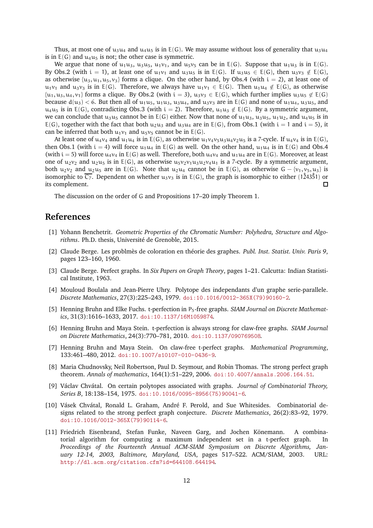Thus, at most one of  $u_3u_4$  and  $u_4u_5$  is in E(G). We may assume without loss of generality that  $u_3u_4$ is in  $E(G)$  and  $u_4u_5$  is not; the other case is symmetric.

We argue that none of  $u_1u_3$ ,  $u_3u_5$ ,  $u_1v_1$ , and  $u_5v_5$  can be in E(G). Suppose that  $u_1u_3$  is in E(G). By Obs[.2](#page-4-4) (with i = 1), at least one of  $u_1v_1$  and  $u_3u_5$  is in E(G). If  $u_3u_5 \in E(G)$ , then  $u_3v_3 \notin E(G)$ , as otherwise  $\{u_3, u_1, u_5, v_3\}$  forms a clique. On the other hand, by Obs[.4](#page-4-2) (with  $i = 2$ ), at least one of  $u_1v_1$  and  $u_3v_3$  is in E(G). Therefore, we always have  $u_1v_1 \in E(G)$ . Then  $u_1u_4 \notin E(G)$ , as otherwise  $\{u_1, u_3, u_4, v_1\}$  forms a clique. By Obs[.2](#page-4-4) (with  $i = 3$ ),  $u_3v_3 \in E(G)$ , which further implies  $u_3u_5 \notin E(G)$ because  $d(u_3) < 6$ . But then all of  $u_1u_5$ ,  $u_1u_3$ ,  $u_3u_4$ , and  $u_3v_3$  are in E(G) and none of  $u_1u_4$ ,  $u_3u_5$ , and  $u_4u_5$  is in E(G), contradicting Obs[.3](#page-4-7) (with  $i = 2$ ). Therefore,  $u_1u_3 \notin E(G)$ . By a symmetric argument, we can conclude that u<sub>3</sub>u<sub>5</sub> cannot be in E(G) either. Now that none of u<sub>1</sub>u<sub>3</sub>, u<sub>3</sub>u<sub>5</sub>, u<sub>1</sub>u<sub>2</sub>, and u<sub>4</sub>u<sub>5</sub> is in E(G), together with the fact that both  $u_2u_3$  and  $u_3u_4$  are in E(G), from Obs[.1](#page-4-1) (with  $i = 1$  and  $i = 5$ ), it can be inferred that both  $u_1v_1$  and  $u_5v_5$  cannot be in E(G).

At least one of  $u_4v_4$  and  $u_1u_4$  is in E(G), as otherwise  $u_1v_4v_5u_3u_4v_2u_5$  is a 7-cycle. If  $u_4v_4$  is in E(G), then Obs[.1](#page-4-1) (with  $i = 4$ ) will force  $u_1u_4$  in E(G) as well. On the other hand,  $u_1u_4$  is in E(G) and Obs[.4](#page-4-2) (with i = 5) will force  $u_4v_4$  in E(G) as well. Therefore, both  $u_4v_4$  and  $u_1u_4$  are in E(G). Moreover, at least one of  $u_2v_2$  and  $u_2u_5$  is in E(G), as otherwise  $u_5v_2v_1u_3u_2v_4u_1$  is a 7-cycle. By a symmetric argument, both u<sub>2</sub>v<sub>2</sub> and u<sub>2</sub>u<sub>5</sub> are in E(G). Note that u<sub>2</sub>u<sub>4</sub> cannot be in E(G), as otherwise G – {v<sub>1</sub>, v<sub>5</sub>, u<sub>3</sub>} is isomorphic to  $\overline{C_7}$ . Dependent on whether  $u_3v_3$  is in E(G), the graph is isomorphic to either (124351) or its complement.  $\Box$ 

The discussion on the order of G and Propositions [17–](#page-9-2)[20](#page-10-1) imply Theorem [1.](#page-1-4)

### <span id="page-11-10"></span>**References**

- [1] Yohann Benchetrit. *Geometric Properties of the Chromatic Number: Polyhedra, Structure and Algo*rithms. Ph.D. thesis, Université de Grenoble, 2015.
- <span id="page-11-3"></span>[2] Claude Berge. Les problm`es de coloration en th´eorie des graphes. *Publ. Inst. Statist. Univ. Paris 9*, pages 123–160, 1960.
- <span id="page-11-0"></span>[3] Claude Berge. Perfect graphs. In *Six Papers on Graph Theory*, pages 1–21. Calcutta: Indian Statistical Institute, 1963.
- <span id="page-11-4"></span>[4] Mouloud Boulala and Jean-Pierre Uhry. Polytope des independants d'un graphe serie-parallele. *Discrete Mathematics*, 27(3):225–243, 1979. [doi:10.1016/0012-365X\(79\)90160-2](https://doi.org/10.1016/0012-365X(79)90160-2).
- <span id="page-11-7"></span>[5] Henning Bruhn and Elke Fuchs. t-perfection in P<sub>5</sub>-free graphs. *SIAM Journal on Discrete Mathematics*, 31(3):1616–1633, 2017. [doi:10.1137/16M1059874](https://doi.org/10.1137/16M1059874).
- <span id="page-11-9"></span>[6] Henning Bruhn and Maya Stein. t-perfection is always strong for claw-free graphs. *SIAM Journal on Discrete Mathematics*, 24(3):770–781, 2010. [doi:10.1137/090769508](https://doi.org/10.1137/090769508).
- <span id="page-11-6"></span>[7] Henning Bruhn and Maya Stein. On claw-free t-perfect graphs. *Mathematical Programming*, 133:461–480, 2012. [doi:10.1007/s10107-010-0436-9](https://doi.org/10.1007/s10107-010-0436-9).
- <span id="page-11-5"></span>[8] Maria Chudnovsky, Neil Robertson, Paul D. Seymour, and Robin Thomas. The strong perfect graph theorem. *Annals of mathematics*, 164(1):51–229, 2006. [doi:10.4007/annals.2006.164.51](https://doi.org/10.4007/annals.2006.164.51).
- <span id="page-11-1"></span>[9] V´aclav Chv´atal. On certain polytopes associated with graphs. *Journal of Combinatorial Theory, Series B*, 18:138–154, 1975. [doi:10.1016/0095-8956\(75\)90041-6](https://doi.org/10.1016/0095-8956(75)90041-6).
- <span id="page-11-8"></span>[10] Vásek Chvátal, Ronald L. Graham, André F. Perold, and Sue Whitesides. Combinatorial designs related to the strong perfect graph conjecture. *Discrete Mathematics*, 26(2):83–92, 1979. [doi:10.1016/0012-365X\(79\)90114-6](https://doi.org/10.1016/0012-365X(79)90114-6).
- <span id="page-11-2"></span>[11] Friedrich Eisenbrand, Stefan Funke, Naveen Garg, and Jochen Könemann. A combinatorial algorithm for computing a maximum independent set in a t-perfect graph. In *Proceedings of the Fourteenth Annual ACM-SIAM Symposium on Discrete Algorithms, January 12-14, 2003, Baltimore, Maryland, USA*, pages 517–522. ACM/SIAM, 2003. URL: <http://dl.acm.org/citation.cfm?id=644108.644194>.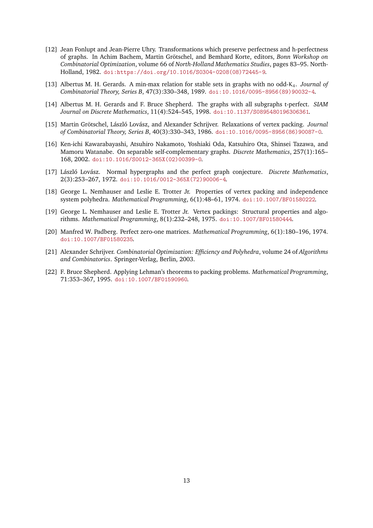- <span id="page-12-4"></span>[12] Jean Fonlupt and Jean-Pierre Uhry. Transformations which preserve perfectness and h-perfectness of graphs. In Achim Bachem, Martin Grötschel, and Bemhard Korte, editors, *Bonn Workshop on Combinatorial Optimization*, volume 66 of *North-Holland Mathematics Studies*, pages 83–95. North-Holland, 1982. [doi:https://doi.org/10.1016/S0304-0208\(08\)72445-9](https://doi.org/https://doi.org/10.1016/S0304-0208(08)72445-9).
- <span id="page-12-10"></span><span id="page-12-5"></span>[13] Albertus M. H. Gerards. A min-max relation for stable sets in graphs with no odd-K4. *Journal of Combinatorial Theory, Series B*, 47(3):330–348, 1989. [doi:10.1016/0095-8956\(89\)90032-4](https://doi.org/10.1016/0095-8956(89)90032-4).
- <span id="page-12-3"></span>[14] Albertus M. H. Gerards and F. Bruce Shepherd. The graphs with all subgraphs t-perfect. *SIAM Journal on Discrete Mathematics*, 11(4):524–545, 1998. [doi:10.1137/S0895480196306361](https://doi.org/10.1137/S0895480196306361).
- <span id="page-12-9"></span>[15] Martin Grötschel, László Lovász, and Alexander Schrijver. Relaxations of vertex packing. *Journal of Combinatorial Theory, Series B*, 40(3):330–343, 1986. [doi:10.1016/0095-8956\(86\)90087-0](https://doi.org/10.1016/0095-8956(86)90087-0).
- [16] Ken-ichi Kawarabayashi, Atsuhiro Nakamoto, Yoshiaki Oda, Katsuhiro Ota, Shinsei Tazawa, and Mamoru Watanabe. On separable self-complementary graphs. *Discrete Mathematics*, 257(1):165– 168, 2002. [doi:10.1016/S0012-365X\(02\)00399-0](https://doi.org/10.1016/S0012-365X(02)00399-0).
- <span id="page-12-8"></span>[17] László Lovász. Normal hypergraphs and the perfect graph conjecture. *Discrete Mathematics*, 2(3):253–267, 1972. [doi:10.1016/0012-365X\(72\)90006-4](https://doi.org/10.1016/0012-365X(72)90006-4).
- <span id="page-12-1"></span>[18] George L. Nemhauser and Leslie E. Trotter Jr. Properties of vertex packing and independence system polyhedra. *Mathematical Programming*, 6(1):48–61, 1974. [doi:10.1007/BF01580222](https://doi.org/10.1007/BF01580222).
- <span id="page-12-2"></span>[19] George L. Nemhauser and Leslie E. Trotter Jr. Vertex packings: Structural properties and algorithms. *Mathematical Programming*, 8(1):232–248, 1975. [doi:10.1007/BF01580444](https://doi.org/10.1007/BF01580444).
- <span id="page-12-6"></span><span id="page-12-0"></span>[20] Manfred W. Padberg. Perfect zero-one matrices. *Mathematical Programming*, 6(1):180–196, 1974. [doi:10.1007/BF01580235](https://doi.org/10.1007/BF01580235).
- [21] Alexander Schrijver. *Combinatorial Optimization: Efficiency and Polyhedra*, volume 24 of *Algorithms and Combinatorics*. Springer-Verlag, Berlin, 2003.
- <span id="page-12-7"></span>[22] F. Bruce Shepherd. Applying Lehman's theorems to packing problems. *Mathematical Programming*, 71:353–367, 1995. [doi:10.1007/BF01590960](https://doi.org/10.1007/BF01590960).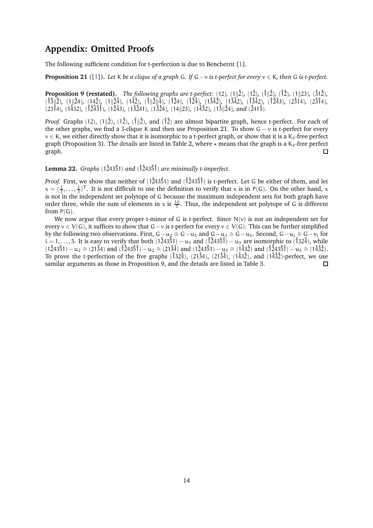## **Appendix: Omitted Proofs**

The following sufficient condition for t-perfection is due to Benchetrit [\[1\]](#page-11-10).

<span id="page-13-0"></span>**Proposition 21** ([\[1\]](#page-11-10))**.** *Let* K *be a clique of a graph* G*. If* G−v *is t-perfect for every* v ∈ K*, then* G *is t-perfect.*

**Proposition [9](#page-4-3) (restated).** The following graphs are t-perfect: (12), (1 $\parallel$ 2), (1 $\parallel$ 2), (1 $\parallel$ 2), (1 $\parallel$ 23), (312)*,*  $(\hat{1}3\hat{1}\hat{2}), (\hat{1}\hat{2}4), (\hat{1}4\hat{2}), (\hat{1}\hat{2}\hat{4}), (\hat{1}\hat{4}\hat{2}), (\hat{1}\hat{2}\hat{1}\hat{4}), (\hat{1}\hat{2}4), (\hat{1}\hat{2}\hat{4}), (\hat{1}\hat{3}\hat{4}\hat{2}), (\hat{1}\hat{3}\hat{4}\hat{2}), (\hat{1}\hat{3}\hat{4}\hat{2}), (\hat{1}\hat{2}\hat{4}\hat{3}), (\hat{2}\hat{3}\hat{1}4), (\hat{2}\hat{3}\hat{1}4), (\hat{1}\hat{2}\hat{4}\hat{2}), (\$  $(2314)$ ,  $(1432)$ ,  $(1243)$ <sup>2</sup>,  $(1243)$ ,  $(13241)$ ,  $(1324)$ ,  $(14||23)$ ,  $(1432)$ ,  $(13||24)$ , and  $(2413)$ .

*Proof.* Graphs (12), (1 $\parallel$ 2), (1 $\parallel$ 2), (1 $\parallel$ 1), and (1<sup>2</sup>) are almost bipartite graph, hence t-perfect. For each of the other graphs, we find a 3-clique K and then use Proposition [21.](#page-13-0) To show  $G - v$  is t-perfect for every  $v \in K$ , we either directly show that it is isomorphic to a t-perfect graph, or show that it is a  $K_4$ -free perfect graph (Proposition [3\)](#page-3-0). The details are listed in Table [2,](#page-15-0) where  $\star$  means that the graph is a K<sub>4</sub>-free perfect graph.  $\Box$ 

<span id="page-13-1"></span>**Lemma 22.** *Graphs* (1˚243˚51) *and* (˚1˚243˚5˚1) *are minimally t-imperfect.*

*Proof.* First, we show that neither of  $(1\dot{2}43\dot{5}1)$  and  $(1\dot{2}43\dot{5}1)$  is t-perfect. Let G be either of them, and let  $x = (\frac{1}{3}, \ldots, \frac{1}{3})^T$ . It is not difficult to use the definition to verify that x is in P(G). On the other hand, x is not in the independent set polytope of G because the maximum independent sets for both graph have order three, while the sum of elements in x is  $\frac{10}{3}$ . Thus, the independent set polytope of G is different from P(G).

We now argue that every proper t-minor of G is t-perfect. Since  $N(v)$  is not an independent set for every  $v \in V(G)$ , it suffices to show that G−v is t-perfect for every  $v \in V(G)$ . This can be further simplified by the following two observations. First,  $G-u_2 \cong G-u_5$  and  $G-u_3 \cong G-u_4$ . Second,  $G-u_i \cong G-v_i$  for  $i = 1, \ldots, 5$ . It is easy to verify that both  $(1\dot{2}43\dot{5}1) - u_1$  and  $(\dot{1}\dot{2}43\dot{5}\dot{1}) - u_1$  are isomorphic to  $(\dot{1}32\dot{4})$ , while  $(1\dot{2}43\dot{5}1) - u_2 \approx (21\dot{3}4)$  and  $(\dot{1}\dot{2}43\dot{5}1) - u_2 \approx (21\dot{3}\dot{4})$  and  $(1\dot{2}43\dot{5}1) - u_3 \approx (1\dot{4}3\dot{2})$ . To prove the t-perfection of the five graphs  $(\hat{1}32\hat{4})$ ,  $(21\hat{3}4)$ ,  $(21\hat{3}4)$ ,  $(143\hat{2})$ , and  $(14\hat{3}\hat{2})$ -perfect, we use samilar arguments as those in Proposition [9,](#page-4-3) and the details are listed in Table [3.](#page-15-1)  $\Box$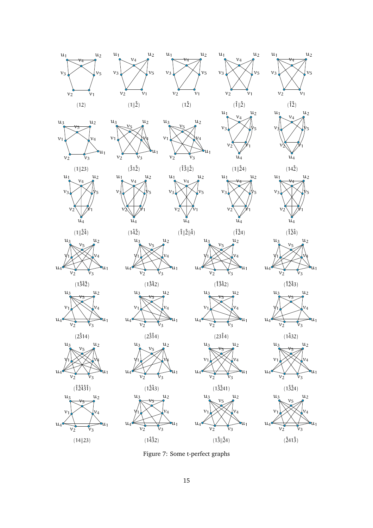

Figure 7: Some t-perfect graphs